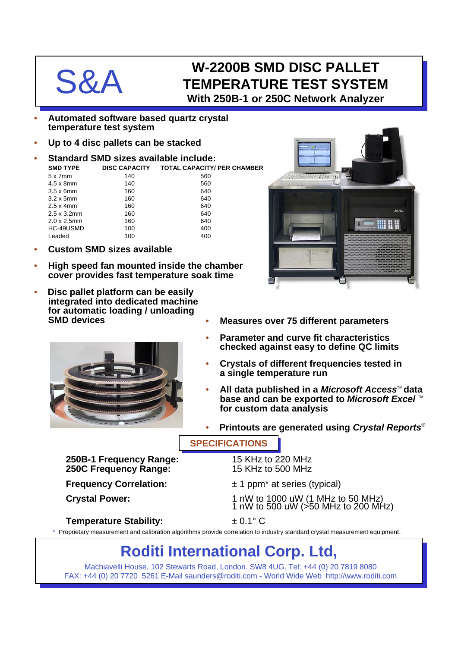## W-2200B SMD DISC PALLET<br>
S&A TEMPERATURE TEST SYSTEI **TEMPERATURE TEST SYSTEM With 250B-1 or 250C Network Analyzer**

- **Automated software based quartz crystal temperature test system**
- **Up to 4 disc pallets can be stacked**
- **Standard SMD sizes available include: SMD TYPE DISC CAPACITY TOTAL CAPACITY/ PER CHAMBER**

| $5 \times 7$ mm     | 140 | 560 |
|---------------------|-----|-----|
| $4.5 \times 8$ mm   | 140 | 560 |
| $3.5 \times 6$ mm   | 160 | 640 |
| $3.2 \times 5$ mm   | 160 | 640 |
| $2.5 \times 4$ mm   | 160 | 640 |
| $2.5 \times 3.2$ mm | 160 | 640 |
| $2.0 \times 2.5$ mm | 160 | 640 |
| HC-49USMD           | 100 | 400 |
| Leaded              | 100 | 400 |
|                     |     |     |

- **Custom SMD sizes available**
- **High speed fan mounted inside the chamber cover provides fast temperature soak time**
- **Disc pallet platform can be easily integrated into dedicated machine for automatic loading / unloading SMD devices**



• **Parameter and curve fit characteristics checked against easy to define QC limits**

• **Measures over 75 different parameters**

- **Crystals of different frequencies tested in a single temperature run**
- **All data published in a** *Microsoft Access***<sup>™</sup> data base and can be exported to** *Microsoft Excel*™ **for custom data analysis**
- **Printouts are generated using** *Crystal Reports*®

### **SPECIFICATIONS**

**250B-1 Frequency Range:** 15 KHz to 220 MHz **250C Frequency Range:** 

**Frequency Correlation:**  $\pm 1$  ppm<sup>\*</sup> at series (typical)

Crystal Power: 1 nW to 1000 uW (1 MHz to 50 MHz) 1 nW to 500 uW (>50 MHz to 200 MHz)

### **Temperature Stability:** ± 0.1° C

\* Proprietary measurement and calibration algorithms provide correlation to industry standard crystal measurement equipment.

# **Roditi International Corp. Ltd,**

Machiavelli House, 102 Stewarts Road, London. SW8 4UG. Tel: +44 (0) 20 7819 8080 FAX: +44 (0) 20 7720 5261 E-Mail saunders@roditi.com - World Wide Web http://www.roditi.com